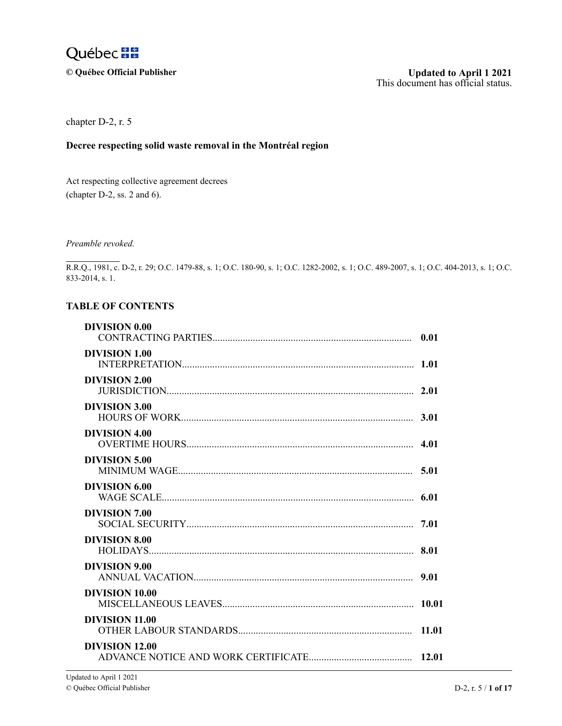

 $©$  Québec Official Publisher

chapter D-2, r. 5

### **Decree respecting solid waste removal in the Montréal region**

 $\lambda$ Act respecting collective agreement decrees (chapter  $D-2$ , ss. 2 and 6).

 $p_{\nu}$  $\overline{a}$ e Preamble revoked.

 $\pm$ k<br>.. 833-2014, s. 1. e m R.R.Q., 1981, c. D-2, r. 29; O.C. 1479-88, s. 1; O.C. 180-90, s. 1; O.C. 1282-2002, s. 1; O.C. 489-2007, s. 1; O.C. 404-2013, s. 1; O.C.

#### $\mathbf{T}^{\prime}$ A h 3 **TABLE OF CONTENTS**

| <b>DIVISION 0.00</b>  | 0.01 |
|-----------------------|------|
| <b>DIVISION 1.00</b>  |      |
| <b>DIVISION 2.00</b>  |      |
| <b>DIVISION 3.00</b>  | 3.01 |
| <b>DIVISION 4.00</b>  |      |
| <b>DIVISION 5.00</b>  |      |
| <b>DIVISION 6.00</b>  |      |
| DIVISION 7.00         |      |
| <b>DIVISION 8.00</b>  |      |
| <b>DIVISION 9.00</b>  |      |
| <b>DIVISION 10.00</b> |      |
| DIVISION 11.00        |      |
| <b>DIVISION 12.00</b> |      |
|                       |      |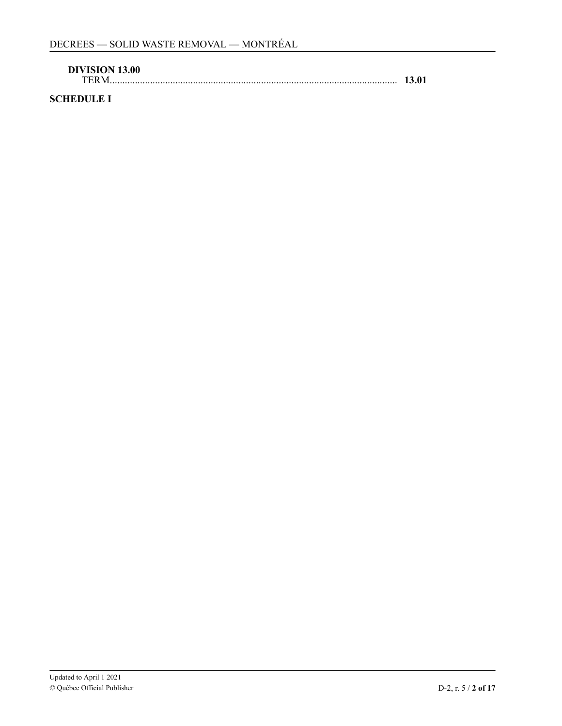| <b>DIVISION 13.00</b> |       |
|-----------------------|-------|
| TERM                  | 13.01 |

# **SCHEDULE I**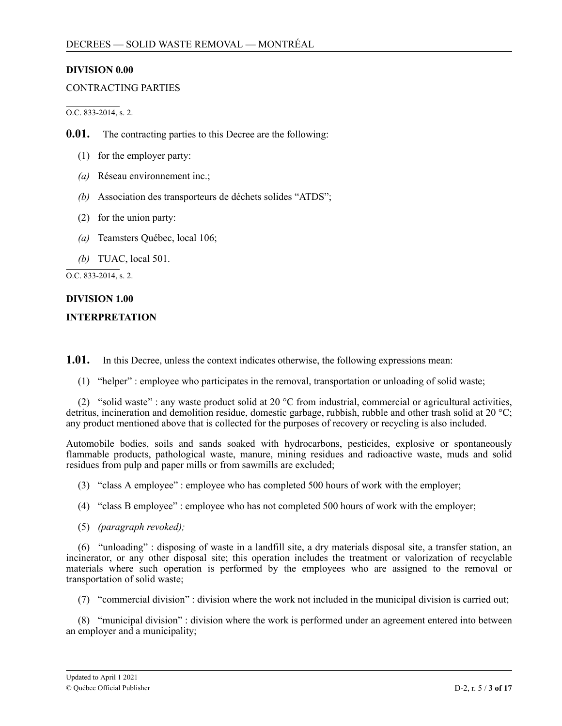### <span id="page-2-0"></span>**DIVISION 0.00**

### CONTRACTING PARTIES

O.C. 833-2014, s. 2.

**0.01.** The contracting parties to this Decree are the following:

- (1) for the employer party:
- *(a)* Réseau environnement inc.;
- *(b)* Association des transporteurs de déchets solides "ATDS";
- (2) for the union party:
- *(a)* Teamsters Québec, local 106;

*(b)* TUAC, local 501.

O.C. 833-2014, s. 2.

# **DIVISION 1.00**

### **INTERPRETATION**

 $1.01.$ **1.01.** In this Decree, unless the context indicates otherwise, the following expressions mean:

(1) "helper" : employee who participates in the removal, transportation or unloading of solid waste;

detritus, incineration and demolition residue, domestic garbage, rubbish, rubble and other trash solid at 20 °C; any product mentioned above that is collected for the purposes of recovery or recycling is also included. (2) "solid waste" : any waste product solid at 20  $^{\circ}$ C from industrial, commercial or agricultural activities,

Automobile bodies, soils and sands soaked with hydrocarbons, pesticides, explosive or spontaneously flammable products, pathological waste, manure, mining residues and radioactive waste, muds and solid residues from pulp and paper mills or from sawmills are excluded;

(3) "class A employee" : employee who has completed 500 hours of work with the employer;

- (4) "class B employee" : employee who has not completed 500 hours of work with the employer;
- (5) *(paragraph revoked);*

2 incinerator, or any other disposal site; this operation includes the treatment or valorization of recyclable , materials where such operation is performed by the employees who are assigned to the removal or transportation of solid waste; (6) "unloading" : disposing of waste in a landfill site, a dry materials disposal site, a transfer station, an

(7) "commercial division" : division where the work not included in the municipal division is carried out;

. an employer and a municipality; (8) "municipal division" : division where the work is performed under an agreement entered into between

;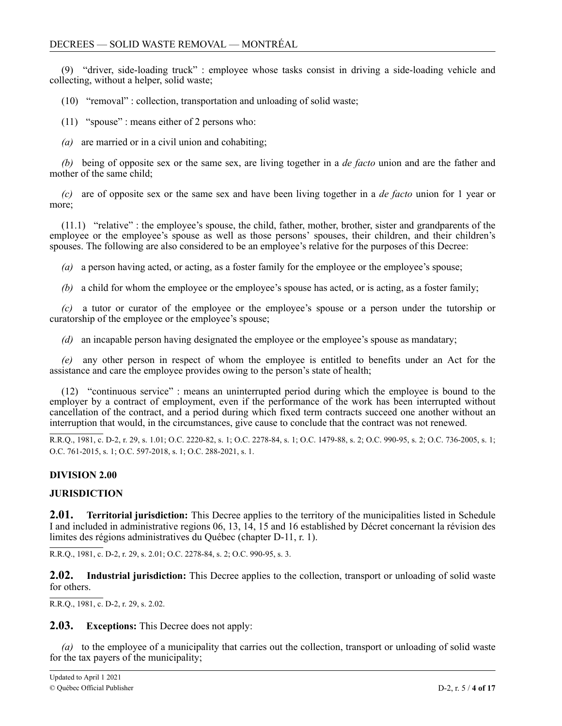<span id="page-3-0"></span>(9) "driver, side-loading truck" : employee whose tasks consist in driving a side-loading vehicle and collecting, without a helper, solid waste;

(10) "removal" : collection, transportation and unloading of solid waste;

(11) "spouse" : means either of 2 persons who:

*(a)* are married or in a civil union and cohabiting;

*(b)* being of opposite sex or the same sex, are living together in a *de facto* union and are the father and mother of the same child;

*(c)* are of opposite sex or the same sex and have been living together in a *de facto* union for 1 year or more;

(11.1) "relative" : the employee's spouse, the child, father, mother, brother, sister and grandparents of the employee or the employee's spouse as well as those persons' spouses, their children, and their children's spouses. The following are also considered to be an employee's relative for the purposes of this Decree:

*(a)* a person having acted, or acting, as a foster family for the employee or the employee's spouse;

*(b)* a child for whom the employee or the employee's spouse has acted, or is acting, as a foster family;

*(c)* a tutor or curator of the employee or the employee's spouse or a person under the tutorship or curatorship of the employee or the employee's spouse;

*(d)* an incapable person having designated the employee or the employee's spouse as mandatary;

*(e)* any other person in respect of whom the employee is entitled to benefits under an Act for the assistance and care the employee provides owing to the person's state of health;

(12) "continuous service" : means an uninterrupted period during which the employee is bound to the employer by a contract of employment, even if the performance of the work has been interrupted without cancellation of the contract, and a period during which fixed term contracts succeed one another without an interruption that would, in the circumstances, give cause to conclude that the contract was not renewed.

R.R.Q., 1981, c. D-2, r. 29, s. 1.01; O.C. 2220-82, s. 1; O.C. 2278-84, s. 1; O.C. 1479-88, s. 2; O.C. 990-95, s. 2; O.C. 736-2005, s. 1; O.C. 761-2015, s. 1; O.C. 597-2018, s. 1; O.C. 288-2021, s. 1.

### **DIVISION 2.00**

### 2 **JURISDICTION**

1 2 **2.01. Territorial jurisdiction:** This Decree applies to the territory of the municipalities listed in Schedule I and included in administrative regions 06, 13, 14, 15 and 16 established by Décret concernant la révision des limites des régions administratives du Québec (chapter D-11, r. 1).

R.R.Q., 1981, c. D-2, r. 29, s. 2.01; O.C. 2278-84, s. 2; O.C. 990-95, s. 3.

**2.02. Industrial jurisdiction:** This Decree applies to the collection, transport or unloading of solid waste for others.

R.R.Q., 1981, c. D-2, r. 29, s. 2.02.

**2.03. Exceptions:** This Decree does not apply:

*(a)* to the employee of a municipality that carries out the collection, transport or unloading of solid waste for the tax payers of the municipality;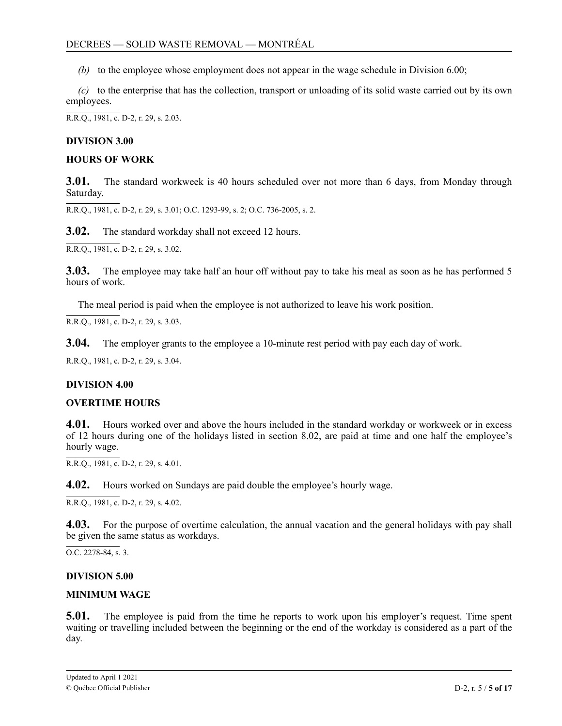<span id="page-4-0"></span>*(b)* to the employee whose employment does not appear in the wage schedule in Division 6.00;

*(c)* to the enterprise that has the collection, transport or unloading of its solid waste carried out by its own employees.

R.R.Q., 1981, c. D-2, r. 29, s. 2.03.

### **DIVISION 3.00**

### **HOURS OF WORK**

**3.01.** The standard workweek is 40 hours scheduled over not more than 6 days, from Monday through Saturday.

R.R.Q., 1981, c. D-2, r. 29, s. 3.01; O.C. 1293-99, s. 2; O.C. 736-2005, s. 2.

**3.02.** The standard workday shall not exceed 12 hours.

R.R.Q., 1981, c. D-2, r. 29, s. 3.02.

**3.03.** The employee may take half an hour off without pay to take his meal as soon as he has performed 5 hours of work.

The meal period is paid when the employee is not authorized to leave his work position.

R.R.Q., 1981, c. D-2, r. 29, s. 3.03.

**3.04.** The employer grants to the employee a 10-minute rest period with pay each day of work.

R.R.Q., 1981, c. D-2, r. 29, s. 3.04.

#### **DIVISION 4.00**

#### **OVERTIME HOURS**

**4.01.** Hours worked over and above the hours included in the standard workday or workweek or in excess of 12 hours during one of the holidays listed in section 8.02, are paid at time and one half the employee's hourly wage.

R.R.Q., 1981, c. D-2, r. 29, s. 4.01.

**4.02.** Hours worked on Sundays are paid double the employee's hourly wage.

 $R.R.O., 1981, c. D-2, r. 29, s. 4.02.$ 

**4.03.** For the purpose of overtime calculation, the annual vacation and the general holidays with pay shall be given the same status as workdays.

O.C. 2278-84, s. 3.

#### **DIVISION 5.00**

### **MINIMUM WAGE**

**5.01.** The employee is paid from the time he reports to work upon his employer's request. Time spent waiting or travelling included between the beginning or the end of the workday is considered as a part of the day.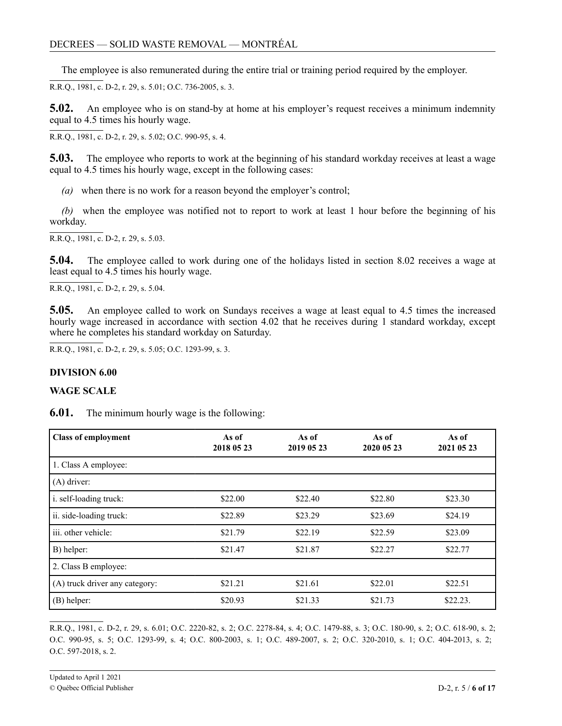<span id="page-5-0"></span>The employee is also remunerated during the entire trial or training period required by the employer.

R.R.Q., 1981, c. D-2, r. 29, s. 5.01; O.C. 736-2005, s. 3.

**5.02.** An employee who is on stand-by at home at his employer's request receives a minimum indemnity equal to 4.5 times his hourly wage.

R.R.Q., 1981, c. D-2, r. 29, s. 5.02; O.C. 990-95, s. 4.

**5.03.** The employee who reports to work at the beginning of his standard workday receives at least a wage equal to 4.5 times his hourly wage, except in the following cases:

*(a)* when there is no work for a reason beyond the employer's control;

*(b)* when the employee was notified not to report to work at least 1 hour before the beginning of his workday.

R.R.Q., 1981, c. D-2, r. 29, s. 5.03.

**5.04.** The employee called to work during one of the holidays listed in section 8.02 receives a wage at least equal to 4.5 times his hourly wage.

R.R.Q., 1981, c. D-2, r. 29, s. 5.04.

**5.05.** An employee called to work on Sundays receives a wage at least equal to 4.5 times the increased hourly wage increased in accordance with section 4.02 that he receives during 1 standard workday, except where he completes his standard workday on Saturday.

R.R.Q., 1981, c. D-2, r. 29, s. 5.05; O.C. 1293-99, s. 3.

### **DIVISION 6.00**

### **WAGE SCALE**

**6.01.** The minimum hourly wage is the following:

| <b>Class of employment</b>     | As of<br>2018 05 23 | As of<br>2019 05 23 | As of<br>2020 05 23 | As of<br>2021 05 23 |
|--------------------------------|---------------------|---------------------|---------------------|---------------------|
| 1. Class A employee:           |                     |                     |                     |                     |
| $(A)$ driver:                  |                     |                     |                     |                     |
| i. self-loading truck:         | \$22.00             | \$22.40             | \$22.80             | \$23.30             |
| ii. side-loading truck:        | \$22.89             | \$23.29             | \$23.69             | \$24.19             |
| iii. other vehicle:            | \$21.79             | \$22.19             | \$22.59             | \$23.09             |
| B) helper:                     | \$21.47             | \$21.87             | \$22.27             | \$22.77             |
| 2. Class B employee:           |                     |                     |                     |                     |
| (A) truck driver any category: | \$21.21             | \$21.61             | \$22.01             | \$22.51             |
| (B) helper:                    | \$20.93             | \$21.33             | \$21.73             | \$22.23.            |

R.R.Q., 1981, c. D-2, r. 29, s. 6.01; O.C. 2220-82, s. 2; O.C. 2278-84, s. 4; O.C. 1479-88, s. 3; O.C. 180-90, s. 2; O.C. 618-90, s. 2; O.C. 990-95, s. 5; O.C. 1293-99, s. 4; O.C. 800-2003, s. 1; O.C. 489-2007, s. 2; O.C. 320-2010, s. 1; O.C. 404-2013, s. 2; O.C. 597-2018, s. 2.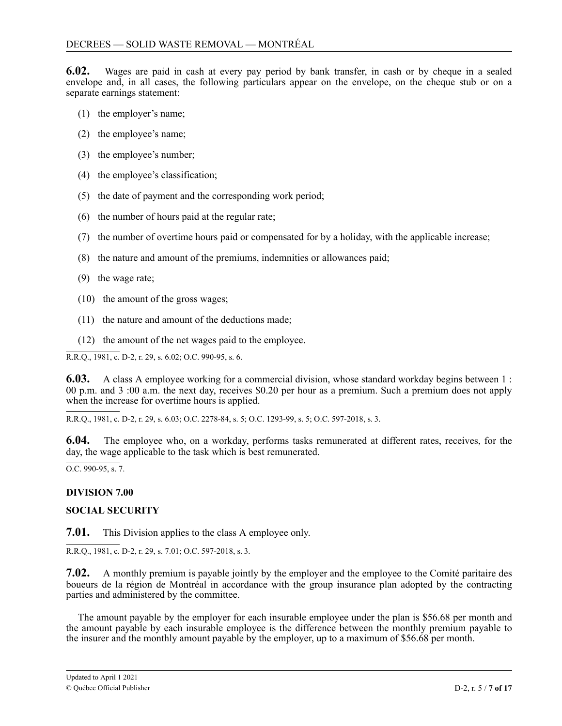<span id="page-6-0"></span>**6.02.** Wages are paid in cash at every pay period by bank transfer, in cash or by cheque in a sealed envelope and, in all cases, the following particulars appear on the envelope, on the cheque stub or on a separate earnings statement:

- (1) the employer's name;
- (2) the employee's name;
- (3) the employee's number;
- (4) the employee's classification;
- (5) the date of payment and the corresponding work period;
- (6) the number of hours paid at the regular rate;
- (7) the number of overtime hours paid or compensated for by a holiday, with the applicable increase;
- (8) the nature and amount of the premiums, indemnities or allowances paid;
- (9) the wage rate;
- (10) the amount of the gross wages;
- (11) the nature and amount of the deductions made;
- (12) the amount of the net wages paid to the employee.

R.R.Q., 1981, c. D-2, r. 29, s. 6.02; O.C. 990-95, s. 6.

**6.03.** A class A employee working for a commercial division, whose standard workday begins between 1 : 00 p.m. and 3 :00 a.m. the next day, receives \$0.20 per hour as a premium. Such a premium does not apply when the increase for overtime hours is applied.

R.R.Q., 1981, c. D-2, r. 29, s. 6.03; O.C. 2278-84, s. 5; O.C. 1293-99, s. 5; O.C. 597-2018, s. 3.

**6.04.** The employee who, on a workday, performs tasks remunerated at different rates, receives, for the day, the wage applicable to the task which is best remunerated.

 $\overline{O.C. 990-95, s. 7}.$ 

### **DIVISION 7.00**

### **SOCIAL SECURITY**

**7.01.** This Division applies to the class A employee only.

R.R.Q., 1981, c. D-2, r. 29, s. 7.01; O.C. 597-2018, s. 3.

7 **7.02.** A monthly premium is payable jointly by the employer and the employee to the Comité paritaire des boueurs de la région de Montréal in accordance with the group insurance plan adopted by the contracting parties and administered by the committee.

The amount payable by the employer for each insurable employee under the plan is \$56.68 per month and the amount payable by each insurable employee is the difference between the monthly premium payable to the insurer and the monthly amount payable by the employer, up to a maximum of \$56.68 per month.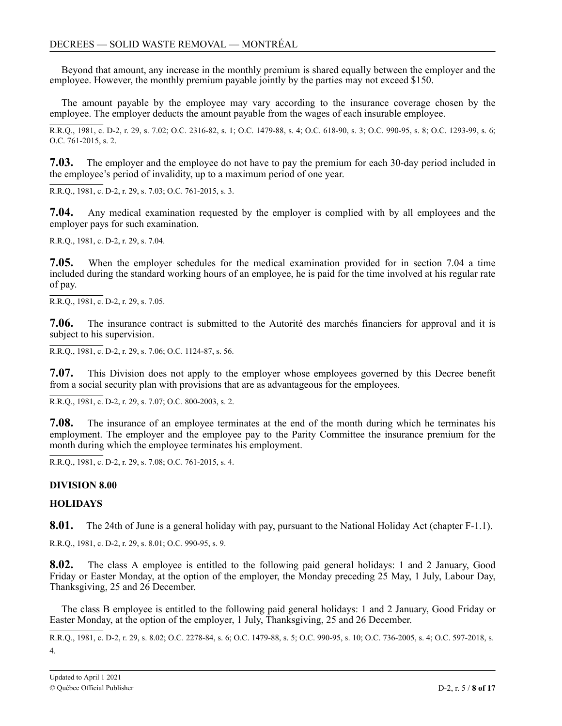<span id="page-7-0"></span>Beyond that amount, any increase in the monthly premium is shared equally between the employer and the employee. However, the monthly premium payable jointly by the parties may not exceed \$150.

The amount payable by the employee may vary according to the insurance coverage chosen by the employee. The employer deducts the amount payable from the wages of each insurable employee.

R.R.Q., 1981, c. D-2, r. 29, s. 7.02; O.C. 2316-82, s. 1; O.C. 1479-88, s. 4; O.C. 618-90, s. 3; O.C. 990-95, s. 8; O.C. 1293-99, s. 6; O.C. 761-2015, s. 2.

**7.03.** The employer and the employee do not have to pay the premium for each 30-day period included in the employee's period of invalidity, up to a maximum period of one year.

R.R.Q., 1981, c. D-2, r. 29, s. 7.03; O.C. 761-2015, s. 3.

**7.04.** Any medical examination requested by the employer is complied with by all employees and the employer pays for such examination.

R.R.Q., 1981, c. D-2, r. 29, s. 7.04.

**7.05.** When the employer schedules for the medical examination provided for in section 7.04 a time included during the standard working hours of an employee, he is paid for the time involved at his regular rate of pay.

R.R.Q., 1981, c. D-2, r. 29, s. 7.05.

**7.06.** The insurance contract is submitted to the Autorité des marchés financiers for approval and it is subject to his supervision.

R.R.Q., 1981, c. D-2, r. 29, s. 7.06; O.C. 1124-87, s. 56.

**7.07.** This Division does not apply to the employer whose employees governed by this Decree benefit from a social security plan with provisions that are as advantageous for the employees.

R.R.Q., 1981, c. D-2, r. 29, s. 7.07; O.C. 800-2003, s. 2.

**7.08.** The insurance of an employee terminates at the end of the month during which he terminates his employment. The employer and the employee pay to the Parity Committee the insurance premium for the month during which the employee terminates his employment.

R.R.Q., 1981, c. D-2, r. 29, s. 7.08; O.C. 761-2015, s. 4.

### **DIVISION 8.00**

### **HOLIDAYS**

**8.01.** The 24th of June is a general holiday with pay, pursuant to the National Holiday Act (chapter F-1.1).

R.R.Q., 1981, c. D-2, r. 29, s. 8.01; O.C. 990-95, s. 9.

**8.02.** The class A employee is entitled to the following paid general holidays: 1 and 2 January, Good Friday or Easter Monday, at the option of the employer, the Monday preceding 25 May, 1 July, Labour Day, Thanksgiving, 25 and 26 December.

The class B employee is entitled to the following paid general holidays: 1 and 2 January, Good Friday or Easter Monday, at the option of the employer, 1 July, Thanksgiving, 25 and 26 December.

R.R.Q., 1981, c. D-2, r. 29, s. 8.02; O.C. 2278-84, s. 6; O.C. 1479-88, s. 5; O.C. 990-95, s. 10; O.C. 736-2005, s. 4; O.C. 597-2018, s. 4.

-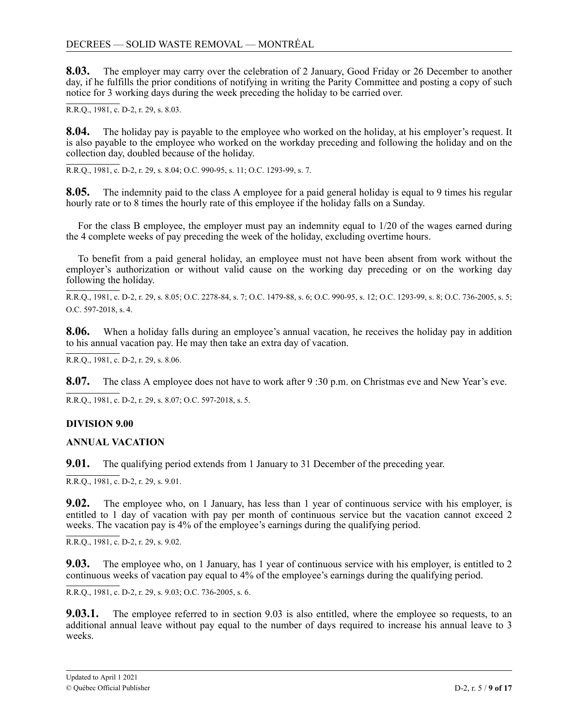<span id="page-8-0"></span>**8.03.** The employer may carry over the celebration of 2 January, Good Friday or 26 December to another day, if he fulfills the prior conditions of notifying in writing the Parity Committee and posting a copy of such notice for 3 working days during the week preceding the holiday to be carried over.

R.R.Q., 1981, c. D-2, r. 29, s. 8.03.

**8.04.** The holiday pay is payable to the employee who worked on the holiday, at his employer's request. It is also payable to the employee who worked on the workday preceding and following the holiday and on the collection day, doubled because of the holiday.

R.R.Q., 1981, c. D-2, r. 29, s. 8.04; O.C. 990-95, s. 11; O.C. 1293-99, s. 7.

**8.05.** The indemnity paid to the class A employee for a paid general holiday is equal to 9 times his regular hourly rate or to 8 times the hourly rate of this employee if the holiday falls on a Sunday.

For the class B employee, the employer must pay an indemnity equal to 1/20 of the wages earned during the 4 complete weeks of pay preceding the week of the holiday, excluding overtime hours.

To benefit from a paid general holiday, an employee must not have been absent from work without the employer's authorization or without valid cause on the working day preceding or on the working day following the holiday.

R.R.Q., 1981, c. D-2, r. 29, s. 8.05; O.C. 2278-84, s. 7; O.C. 1479-88, s. 6; O.C. 990-95, s. 12; O.C. 1293-99, s. 8; O.C. 736-2005, s. 5; O.C. 597-2018, s. 4.

8.06. to his annual vacation pay. He may then take an extra day of vacation. 8.06. When a holiday falls during an employee's annual vacation, he receives the holiday pay in addition

2  $\mathbf{k}$  $\overline{\phantom{a}}$ R.R.Q., 1981, c. D-2, r. 29, s. 8.06.

 $\overline{a}$ 8.07. The class A employee does not have to work after 9:30 p.m. on Christmas eve and New Year's eve. 19<br>2

R.R.Q., 1981, c. D-2, r. 29, s. 8.07; O.C. 597-2018, s. 5.

# 0 **DIVISION 9.00**

#### $\overline{1}$ 8 **ANNUAL VACATION**

**9.01.** The qualifying period extends from 1 January to 31 December of the preceding year.

. R.R.Q., 1981, c. D-2, r. 29, s. 9.01.

**9.02.** The employee who, on 1 January, has less than 1 year of continuous service with his employer, is entitled to 1 day of vacation with pay per month of continuous service but the vacation cannot exceed 2 weeks. The vacation pay is 4% of the employee's earnings during the qualifying period.

R.R.Q., 1981, c. D-2, r. 29, s. 9.02.

**9.03.** The employee who, on 1 January, has 1 year of continuous service with his employer, is entitled to 2 continuous weeks of vacation pay equal to 4% of the employee's earnings during the qualifying period.

R.R.Q., 1981, c. D-2, r. 29, s. 9.03; O.C. 736-2005, s. 6.

**9.03.1.** The employee referred to in section 9.03 is also entitled, where the employee so requests, to an additional annual leave without pay equal to the number of days required to increase his annual leave to 3 weeks.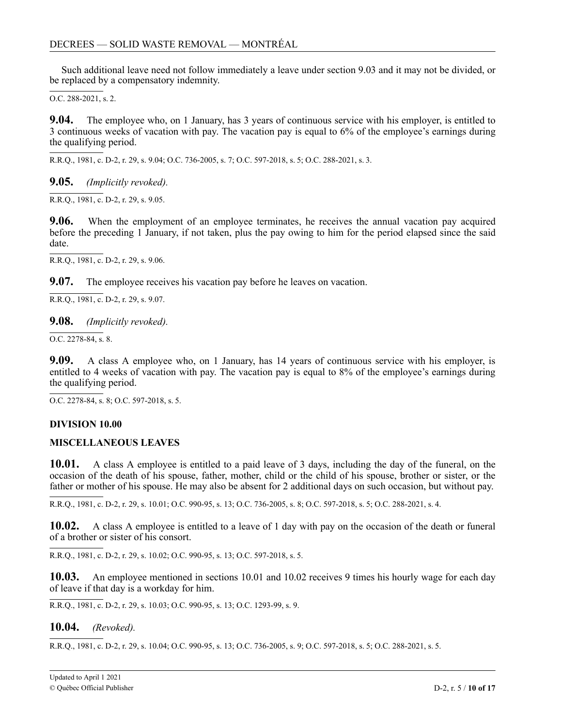<span id="page-9-0"></span>Such additional leave need not follow immediately a leave under section 9.03 and it may not be divided, or be replaced by a compensatory indemnity.

O.C. 288-2021, s. 2.

9.04. - 3 continuous weeks of vacation with pay. The vacation pay is equal to 6% of the employee's earnings during the qualifying period. **9.04.** The employee who, on 1 January, has 3 years of continuous service with his employer, is entitled to

 $\overline{a}$ R.R.Q., 1981, c. D-2, r. 29, s. 9.04; O.C. 736-2005, s. 7; O.C. 597-2018, s. 5; O.C. 288-2021, s. 3.

**9.05.** *(Implicitly revoked).*

R.R.Q., 1981, c. D-2, r. 29, s. 9.05.

 $\sum_{i=1}^{n}$ before the preceding 1 January, if not taken, plus the pay owing to him for the period elapsed since the said 2 **9.06.** When the employment of an employee terminates, he receives the annual vacation pay acquired date.

R.R.Q., 1981, c. D-2, r. 29, s. 9.06.

**9.07.** The employee receives his vacation pay before he leaves on vacation.

R.R.Q., 1981, c. D-2, r. 29, s. 9.07.

### **9.08.** *(Implicitly revoked).*

 $\overline{O.C. 2278-84. s. 8}.$ 

**9.09.** A class A employee who, on 1 January, has 14 years of continuous service with his employer, is entitled to 4 weeks of vacation with pay. The vacation pay is equal to 8% of the employee's earnings during the qualifying period.

O.C. 2278-84, s. 8; O.C. 597-2018, s. 5.

### 7 **DIVISION 10.00**

### 2 **MISCELLANEOUS LEAVES**

1 **10.01.** A class A employee is entitled to a paid leave of 3 days, including the day of the funeral, on the occasion of the death of his spouse, father, mother, child or the child of his spouse, brother or sister, or the father or mother of his spouse. He may also be absent for 2 additional days on such occasion, but without pay.

R.R.Q., 1981, c. D-2, r. 29, s. 10.01; O.C. 990-95, s. 13; O.C. 736-2005, s. 8; O.C. 597-2018, s. 5; O.C. 288-2021, s. 4.

10.02. A class A employee is entitled to a leave of 1 day with pay on the occasion of the death or funeral of a brother or sister of his consort.

R.R.Q., 1981, c. D-2, r. 29, s. 10.02; O.C. 990-95, s. 13; O.C. 597-2018, s. 5.

10.03. An employee mentioned in sections 10.01 and 10.02 receives 9 times his hourly wage for each day of leave if that day is a workday for him.

7

8

0 R.R.Q., 1981, c. D-2, r. 29, s. 10.03; O.C. 990-95, s. 13; O.C. 1293-99, s. 9.

## **10.04.** *(Revoked).*

R.R.Q., 1981, c. D-2, r. 29, s. 10.04; O.C. 990-95, s. 13; O.C. 736-2005, s. 9; O.C. 597-2018, s. 5; O.C. 288-2021, s. 5.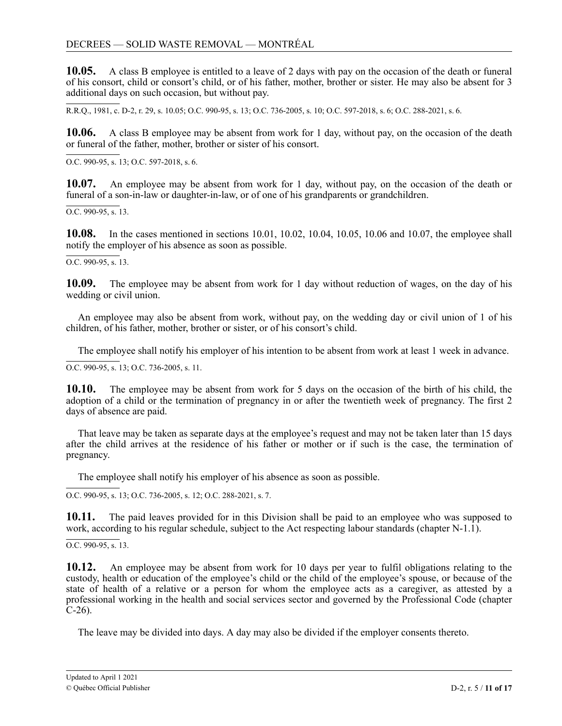**10.05.** A class B employee is entitled to a leave of 2 days with pay on the occasion of the death or funeral of his consort, child or consort's child, or of his father, mother, brother or sister. He may also be absent for 3 additional days on such occasion, but without pay.

R.R.Q., 1981, c. D-2, r. 29, s. 10.05; O.C. 990-95, s. 13; O.C. 736-2005, s. 10; O.C. 597-2018, s. 6; O.C. 288-2021, s. 6.

10.06. A class B employee may be absent from work for 1 day, without pay, on the occasion of the death or funeral of the father, mother, brother or sister of his consort.

O.C. 990-95, s. 13; O.C. 597-2018, s. 6.

10.07. An employee may be absent from work for 1 day, without pay, on the occasion of the death or funeral of a son-in-law or daughter-in-law, or of one of his grandparents or grandchildren.

 $\overline{OC}$ , 990-95, s. 13.

**10.08.** In the cases mentioned in sections 10.01, 10.02, 10.04, 10.05, 10.06 and 10.07, the employee shall notify the employer of his absence as soon as possible.

 $\overline{O.C. 990-95. s. 13.}$ 

**10.09.** The employee may be absent from work for 1 day without reduction of wages, on the day of his wedding or civil union.

An employee may also be absent from work, without pay, on the wedding day or civil union of 1 of his children, of his father, mother, brother or sister, or of his consort's child.

The employee shall notify his employer of his intention to be absent from work at least 1 week in advance.

O.C. 990-95, s. 13; O.C. 736-2005, s. 11.

**10.10.** The employee may be absent from work for 5 days on the occasion of the birth of his child, the adoption of a child or the termination of pregnancy in or after the twentieth week of pregnancy. The first 2 days of absence are paid.

That leave may be taken as separate days at the employee's request and may not be taken later than 15 days after the child arrives at the residence of his father or mother or if such is the case, the termination of pregnancy.

The employee shall notify his employer of his absence as soon as possible.

O.C. 990-95, s. 13; O.C. 736-2005, s. 12; O.C. 288-2021, s. 7.

10.11. The paid leaves provided for in this Division shall be paid to an employee who was supposed to work, according to his regular schedule, subject to the Act respecting labour standards (chapter N-1.1).

O.C. 990-95, s. 13.

10.12. An employee may be absent from work for 10 days per year to fulfil obligations relating to the custody, health or education of the employee's child or the child of the employee's spouse, or because of the state of health of a relative or a person for whom the employee acts as a caregiver, as attested by a professional working in the health and social services sector and governed by the Professional Code (chapter C-26).

The leave may be divided into days. A day may also be divided if the employer consents thereto.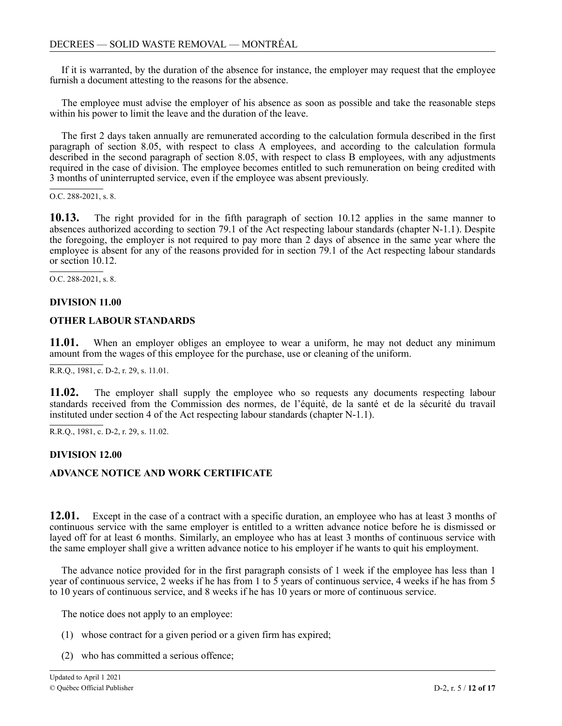<span id="page-11-0"></span>If it is warranted, by the duration of the absence for instance, the employer may request that the employee furnish a document attesting to the reasons for the absence.

The employee must advise the employer of his absence as soon as possible and take the reasonable steps within his power to limit the leave and the duration of the leave.

The first 2 days taken annually are remunerated according to the calculation formula described in the first paragraph of section 8.05, with respect to class A employees, and according to the calculation formula described in the second paragraph of section 8.05, with respect to class B employees, with any adjustments required in the case of division. The employee becomes entitled to such remuneration on being credited with 3 months of uninterrupted service, even if the employee was absent previously.

O.C. 288-2021, s. 8.

 $10.13.$ absences authorized according to section 79.1 of the Act respecting labour standards (chapter N-1.1). Despite 2 the foregoing, the employer is not required to pay more than 2 days of absence in the same year where the employee is absent for any of the reasons provided for in section 79.1 of the Act respecting labour standards 2 or section 10.12. **10.13.** The right provided for in the fifth paragraph of section 10.12 applies in the same manner to

<sup>1</sup> O.C. 288-2021, s. 8.

## 8 **DIVISION 11.00**

### 2 **OTHER LABOUR STANDARDS**

11.01. amount from the wages of this employee for the purchase, use or cleaning of the uniform. When an employer obliges an employee to wear a uniform, he may not deduct any minimum

 $R.R.O., 1981, c. D-2, r. 29, s. 11.01.$ 

**11.02.** The employer shall supply the employee who so requests any documents respecting labour standards received from the Commission des normes, de l'équité, de la santé et de la sécurité du travail instituted under section 4 of the Act respecting labour standards (chapter N-1.1).

R.R.Q., 1981, c. D-2, r. 29, s. 11.02.

### **DIVISION 12.00**

#### **ADVANCE NOTICE AND WORK CERTIFICATE**

12.01. Except in the case of a contract with a specific duration, an employee who has at least 3 months of . continuous service with the same employer is entitled to a written advance notice before he is dismissed or layed off for at least 6 months. Similarly, an employee who has at least 3 months of continuous service with . the same employer shall give a written advance notice to his employer if he wants to quit his employment.

year of continuous service, 2 weeks if he has from 1 to 5 years of continuous service, 4 weeks if he has from 5 ر<br>10 1 The advance notice provided for in the first paragraph consists of 1 week if the employee has less than 1 to 10 years of continuous service, and 8 weeks if he has 10 years or more of continuous service.

The notice does not apply to an employee:

- (1) whose contract for a given period or a given firm has expired;
- (2) who has committed a serious offence;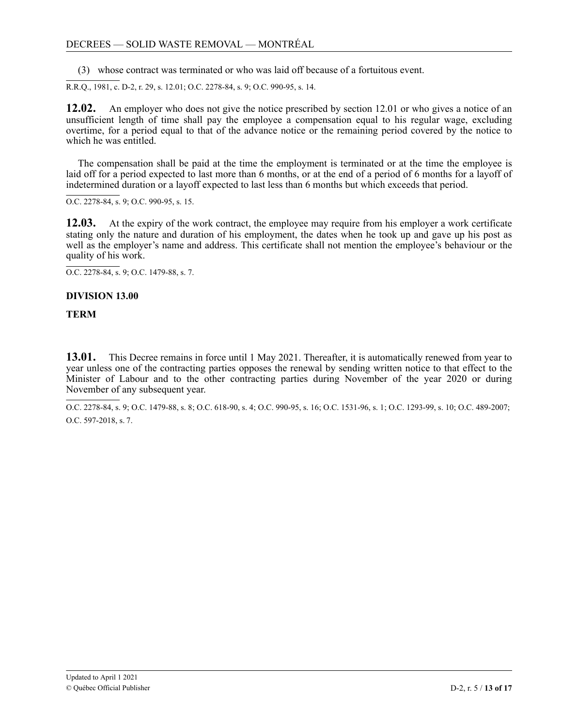<span id="page-12-0"></span>(3) whose contract was terminated or who was laid off because of a fortuitous event.

R.R.Q., 1981, c. D-2, r. 29, s. 12.01; O.C. 2278-84, s. 9; O.C. 990-95, s. 14.

**12.02.** An employer who does not give the notice prescribed by section 12.01 or who gives a notice of an unsufficient length of time shall pay the employee a compensation equal to his regular wage, excluding overtime, for a period equal to that of the advance notice or the remaining period covered by the notice to which he was entitled.

The compensation shall be paid at the time the employment is terminated or at the time the employee is laid off for a period expected to last more than 6 months, or at the end of a period of 6 months for a layoff of indetermined duration or a layoff expected to last less than 6 months but which exceeds that period.

O.C. 2278-84, s. 9; O.C. 990-95, s. 15.

**12.03.** At the expiry of the work contract, the employee may require from his employer a work certificate stating only the nature and duration of his employment, the dates when he took up and gave up his post as well as the employer's name and address. This certificate shall not mention the employee's behaviour or the quality of his work.

O.C. 2278-84, s. 9; O.C. 1479-88, s. 7.

### **DIVISION 13.00**

#### **TERM**

 $13.01.$ . year unless one of the contracting parties opposes the renewal by sending written notice to that effect to the Minister of Labour and to the other contracting parties during November of the year 2020 or during November of any subsequent year. **13.01.** This Decree remains in force until 1 May 2021. Thereafter, it is automatically renewed from year to

 $\overline{a}$ 8 O.C. 2278-84, s. 9; O.C. 1479-88, s. 8; O.C. 618-90, s. 4; O.C. 990-95, s. 16; O.C. 1531-96, s. 1; O.C. 1293-99, s. 10; O.C. 489-2007; 5 O.C. 597-2018, s. 7.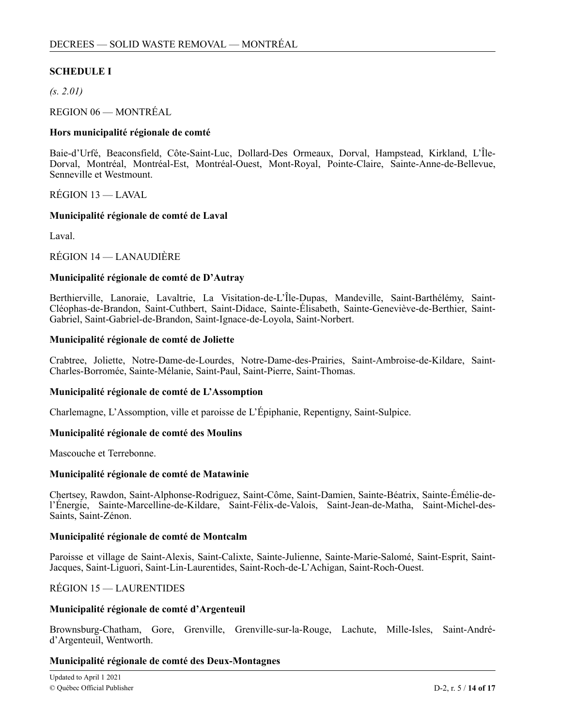### **SCHEDULE I**

*(s. 2.01)*

REGION 06 — MONTRÉAL

#### **Hors municipalité régionale de comté**

Baie-d'Urfé, Beaconsfield, Côte-Saint-Luc, Dollard-Des Ormeaux, Dorval, Hampstead, Kirkland, L'Île-Dorval, Montréal, Montréal-Est, Montréal-Ouest, Mont-Royal, Pointe-Claire, Sainte-Anne-de-Bellevue, Senneville et Westmount.

RÉGION 13 — LAVAL

#### **Municipalité régionale de comté de Laval**

Laval.

RÉGION 14 — LANAUDIÈRE

### **Municipalité régionale de comté de D'Autray**

Berthierville, Lanoraie, Lavaltrie, La Visitation-de-L'Île-Dupas, Mandeville, Saint-Barthélémy, Saint-Cléophas-de-Brandon, Saint-Cuthbert, Saint-Didace, Sainte-Élisabeth, Sainte-Geneviève-de-Berthier, Saint-Gabriel, Saint-Gabriel-de-Brandon, Saint-Ignace-de-Loyola, Saint-Norbert.

#### **Municipalité régionale de comté de Joliette**

Crabtree, Joliette, Notre-Dame-de-Lourdes, Notre-Dame-des-Prairies, Saint-Ambroise-de-Kildare, Saint-Charles-Borromée, Sainte-Mélanie, Saint-Paul, Saint-Pierre, Saint-Thomas.

#### **Municipalité régionale de comté de L'Assomption**

Charlemagne, L'Assomption, ville et paroisse de L'Épiphanie, Repentigny, Saint-Sulpice.

#### **Municipalité régionale de comté des Moulins**

Mascouche et Terrebonne.

#### **Municipalité régionale de comté de Matawinie**

Chertsey, Rawdon, Saint-Alphonse-Rodriguez, Saint-Côme, Saint-Damien, Sainte-Béatrix, Sainte-Émélie-del'Énergie, Sainte-Marcelline-de-Kildare, Saint-Félix-de-Valois, Saint-Jean-de-Matha, Saint-Michel-des-Saints, Saint-Zénon.

#### **Municipalité régionale de comté de Montcalm**

Paroisse et village de Saint-Alexis, Saint-Calixte, Sainte-Julienne, Sainte-Marie-Salomé, Saint-Esprit, Saint-Jacques, Saint-Liguori, Saint-Lin-Laurentides, Saint-Roch-de-L'Achigan, Saint-Roch-Ouest.

RÉGION 15 — LAURENTIDES

#### **Municipalité régionale de comté d'Argenteuil**

Brownsburg-Chatham, Gore, Grenville, Grenville-sur-la-Rouge, Lachute, Mille-Isles, Saint-Andréd'Argenteuil, Wentworth.

#### **Municipalité régionale de comté des Deux-Montagnes**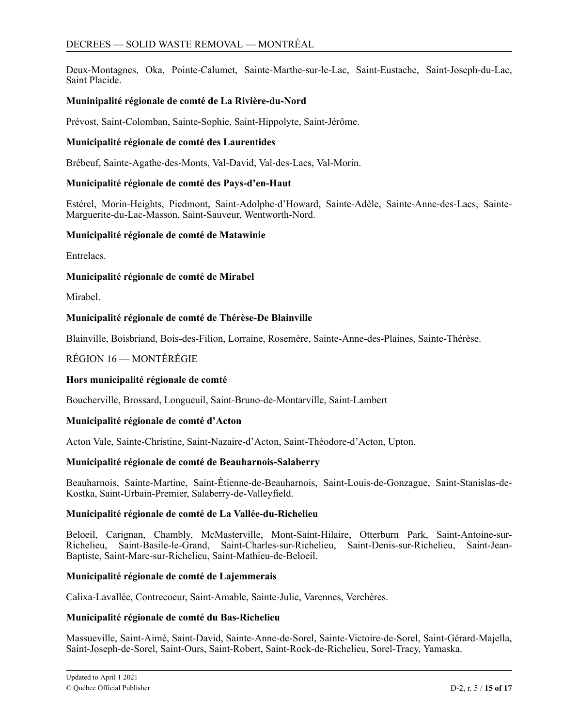Deux-Montagnes, Oka, Pointe-Calumet, Sainte-Marthe-sur-le-Lac, Saint-Eustache, Saint-Joseph-du-Lac, Saint Placide.

### **Muninipalité régionale de comté de La Rivière-du-Nord**

Prévost, Saint-Colomban, Sainte-Sophie, Saint-Hippolyte, Saint-Jérôme.

#### **Municipalité régionale de comté des Laurentides**

Brébeuf, Sainte-Agathe-des-Monts, Val-David, Val-des-Lacs, Val-Morin.

### **Municipalité régionale de comté des Pays-d'en-Haut**

Estérel, Morin-Heights, Piedmont, Saint-Adolphe-d'Howard, Sainte-Adèle, Sainte-Anne-des-Lacs, Sainte-Marguerite-du-Lac-Masson, Saint-Sauveur, Wentworth-Nord.

#### **Municipalité régionale de comté de Matawinie**

Entrelacs.

### **Municipalité régionale de comté de Mirabel**

Mirabel.

### **Municipalité régionale de comté de Thérèse-De Blainville**

Blainville, Boisbriand, Bois-des-Filion, Lorraine, Rosemère, Sainte-Anne-des-Plaines, Sainte-Thérèse.

### RÉGION 16 — MONTÉRÉGIE

#### **Hors municipalité régionale de comté**

Boucherville, Brossard, Longueuil, Saint-Bruno-de-Montarville, Saint-Lambert

#### **Municipalité régionale de comté d'Acton**

Acton Vale, Sainte-Christine, Saint-Nazaire-d'Acton, Saint-Théodore-d'Acton, Upton.

#### **Municipalité régionale de comté de Beauharnois-Salaberry**

Beauharnois, Sainte-Martine, Saint-Étienne-de-Beauharnois, Saint-Louis-de-Gonzague, Saint-Stanislas-de-Kostka, Saint-Urbain-Premier, Salaberry-de-Valleyfield.

### **Municipalité régionale de comté de La Vallée-du-Richelieu**

Beloeil, Carignan, Chambly, McMasterville, Mont-Saint-Hilaire, Otterburn Park, Saint-Antoine-sur-Richelieu, Saint-Basile-le-Grand, Saint-Charles-sur-Richelieu, Saint-Denis-sur-Richelieu, Saint-Jean-Baptiste, Saint-Marc-sur-Richelieu, Saint-Mathieu-de-Beloeil.

#### **Municipalité régionale de comté de Lajemmerais**

Calixa-Lavallée, Contrecoeur, Saint-Amable, Sainte-Julie, Varennes, Verchères.

#### **Municipalité régionale de comté du Bas-Richelieu**

Massueville, Saint-Aimé, Saint-David, Sainte-Anne-de-Sorel, Sainte-Victoire-de-Sorel, Saint-Gérard-Majella, Saint-Joseph-de-Sorel, Saint-Ours, Saint-Robert, Saint-Rock-de-Richelieu, Sorel-Tracy, Yamaska.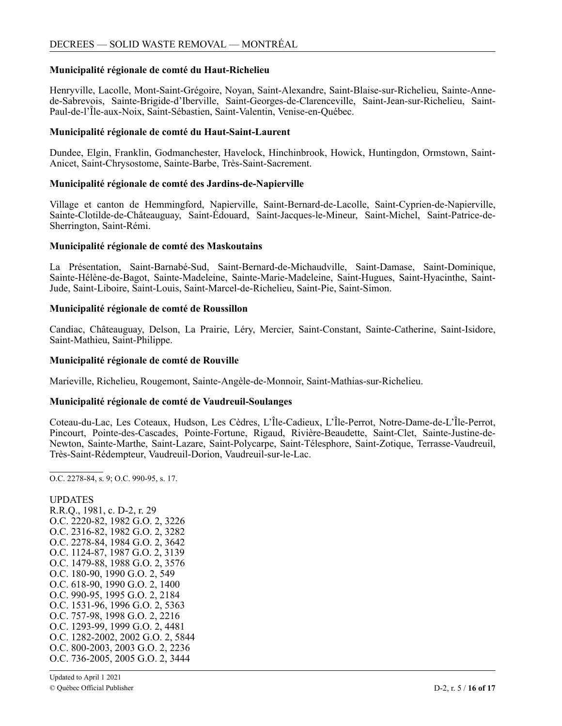#### **Municipalité régionale de comté du Haut-Richelieu**

Henryville, Lacolle, Mont-Saint-Grégoire, Noyan, Saint-Alexandre, Saint-Blaise-sur-Richelieu, Sainte-Annede-Sabrevois, Sainte-Brigide-d'Iberville, Saint-Georges-de-Clarenceville, Saint-Jean-sur-Richelieu, Saint-Paul-de-l'Île-aux-Noix, Saint-Sébastien, Saint-Valentin, Venise-en-Québec.

#### **Municipalité régionale de comté du Haut-Saint-Laurent**

Dundee, Elgin, Franklin, Godmanchester, Havelock, Hinchinbrook, Howick, Huntingdon, Ormstown, Saint-Anicet, Saint-Chrysostome, Sainte-Barbe, Très-Saint-Sacrement.

#### **Municipalité régionale de comté des Jardins-de-Napierville**

Village et canton de Hemmingford, Napierville, Saint-Bernard-de-Lacolle, Saint-Cyprien-de-Napierville, Sainte-Clotilde-de-Châteauguay, Saint-Édouard, Saint-Jacques-le-Mineur, Saint-Michel, Saint-Patrice-de-Sherrington, Saint-Rémi.

#### **Municipalité régionale de comté des Maskoutains**

La Présentation, Saint-Barnabé-Sud, Saint-Bernard-de-Michaudville, Saint-Damase, Saint-Dominique, Sainte-Hélène-de-Bagot, Sainte-Madeleine, Sainte-Marie-Madeleine, Saint-Hugues, Saint-Hyacinthe, Saint-Jude, Saint-Liboire, Saint-Louis, Saint-Marcel-de-Richelieu, Saint-Pie, Saint-Simon.

### **Municipalité régionale de comté de Roussillon**

Candiac, Châteauguay, Delson, La Prairie, Léry, Mercier, Saint-Constant, Sainte-Catherine, Saint-Isidore, Saint-Mathieu, Saint-Philippe.

#### **Municipalité régionale de comté de Rouville**

Marieville, Richelieu, Rougemont, Sainte-Angèle-de-Monnoir, Saint-Mathias-sur-Richelieu.

#### **Municipalité régionale de comté de Vaudreuil-Soulanges**

Coteau-du-Lac, Les Coteaux, Hudson, Les Cèdres, L'Île-Cadieux, L'Île-Perrot, Notre-Dame-de-L'Île-Perrot, Pincourt, Pointe-des-Cascades, Pointe-Fortune, Rigaud, Rivière-Beaudette, Saint-Clet, Sainte-Justine-de-Newton, Sainte-Marthe, Saint-Lazare, Saint-Polycarpe, Saint-Télesphore, Saint-Zotique, Terrasse-Vaudreuil, Très-Saint-Rédempteur, Vaudreuil-Dorion, Vaudreuil-sur-le-Lac.

O.C. 2278-84, s. 9; O.C. 990-95, s. 17.

UPDATES R.R.Q., 1981, c. D-2, r. 29 O.C. 2220-82, 1982 G.O. 2, 3226 O.C. 2316-82, 1982 G.O. 2, 3282 O.C. 2278-84, 1984 G.O. 2, 3642 O.C. 1124-87, 1987 G.O. 2, 3139 O.C. 1479-88, 1988 G.O. 2, 3576 O.C. 180-90, 1990 G.O. 2, 549 O.C. 618-90, 1990 G.O. 2, 1400 O.C. 990-95, 1995 G.O. 2, 2184 O.C. 1531-96, 1996 G.O. 2, 5363 O.C. 757-98, 1998 G.O. 2, 2216 O.C. 1293-99, 1999 G.O. 2, 4481 O.C. 1282-2002, 2002 G.O. 2, 5844 O.C. 800-2003, 2003 G.O. 2, 2236 O.C. 736-2005, 2005 G.O. 2, 3444